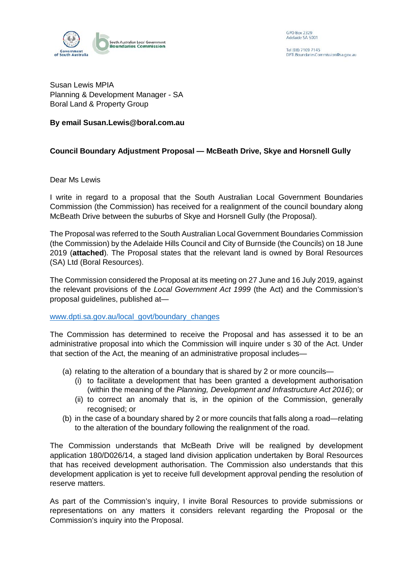

**GPO Box 2329** Adelaide SA 5001

Tel (08) 7109 7145 PTLBoundariesCommission@sa.gov.au

Susan Lewis MPIA Planning & Development Manager - SA Boral Land & Property Group

## **By email Susan.Lewis@boral.com.au**

## **Council Boundary Adjustment Proposal — McBeath Drive, Skye and Horsnell Gully**

Dear Ms Lewis

I write in regard to a proposal that the South Australian Local Government Boundaries Commission (the Commission) has received for a realignment of the council boundary along McBeath Drive between the suburbs of Skye and Horsnell Gully (the Proposal).

The Proposal was referred to the South Australian Local Government Boundaries Commission (the Commission) by the Adelaide Hills Council and City of Burnside (the Councils) on 18 June 2019 (**attached**). The Proposal states that the relevant land is owned by Boral Resources (SA) Ltd (Boral Resources).

The Commission considered the Proposal at its meeting on 27 June and 16 July 2019, against the relevant provisions of the *Local Government Act 1999* (the Act) and the Commission's proposal guidelines, published at—

## [www.dpti.sa.gov.au/local\\_govt/boundary\\_changes](http://www.dpti.sa.gov.au/local_govt/boundary_changes)

The Commission has determined to receive the Proposal and has assessed it to be an administrative proposal into which the Commission will inquire under s 30 of the Act. Under that section of the Act, the meaning of an administrative proposal includes—

- (a) relating to the alteration of a boundary that is shared by 2 or more councils—
	- (i) to facilitate a development that has been granted a development authorisation (within the meaning of the *Planning, Development and Infrastructure Act 2016*); or
	- (ii) to correct an anomaly that is, in the opinion of the Commission, generally recognised; or
- (b) in the case of a boundary shared by 2 or more councils that falls along a road—relating to the alteration of the boundary following the realignment of the road.

The Commission understands that McBeath Drive will be realigned by development application 180/D026/14, a staged land division application undertaken by Boral Resources that has received development authorisation. The Commission also understands that this development application is yet to receive full development approval pending the resolution of reserve matters.

As part of the Commission's inquiry, I invite Boral Resources to provide submissions or representations on any matters it considers relevant regarding the Proposal or the Commission's inquiry into the Proposal.